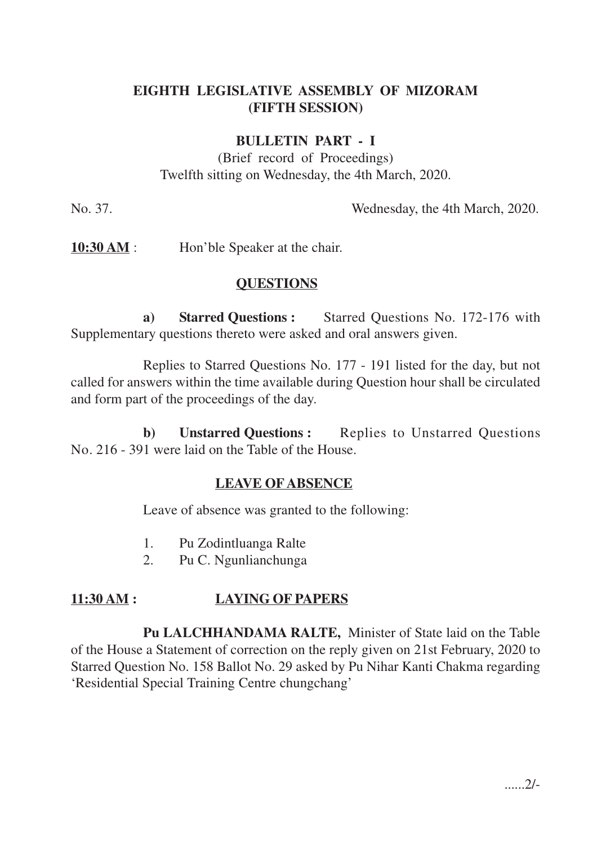## **EIGHTH LEGISLATIVE ASSEMBLY OF MIZORAM (FIFTH SESSION)**

### **BULLETIN PART - I**

(Brief record of Proceedings) Twelfth sitting on Wednesday, the 4th March, 2020.

No. 37. Wednesday, the 4th March, 2020.

**10:30 AM** : Hon'ble Speaker at the chair.

### **QUESTIONS**

**a) Starred Questions :** Starred Questions No. 172-176 with Supplementary questions thereto were asked and oral answers given.

Replies to Starred Questions No. 177 - 191 listed for the day, but not called for answers within the time available during Question hour shall be circulated and form part of the proceedings of the day.

**b) Unstarred Questions :** Replies to Unstarred Questions No. 216 - 391 were laid on the Table of the House.

#### **LEAVE OF ABSENCE**

Leave of absence was granted to the following:

- 1. Pu Zodintluanga Ralte
- 2. Pu C. Ngunlianchunga

### **11:30 AM : LAYING OF PAPERS**

**Pu LALCHHANDAMA RALTE,** Minister of State laid on the Table of the House a Statement of correction on the reply given on 21st February, 2020 to Starred Question No. 158 Ballot No. 29 asked by Pu Nihar Kanti Chakma regarding 'Residential Special Training Centre chungchang'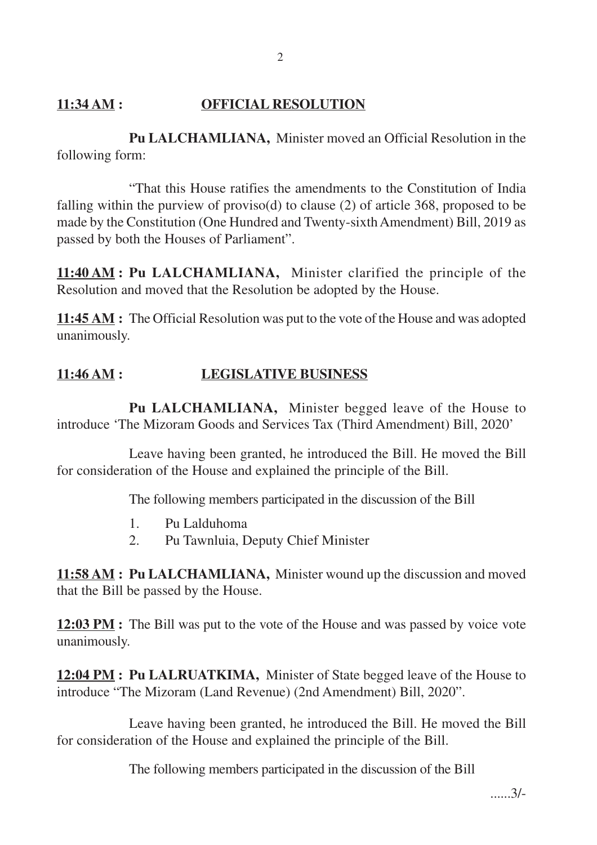# **11:34 AM : OFFICIAL RESOLUTION**

**Pu LALCHAMLIANA,** Minister moved an Official Resolution in the following form:

"That this House ratifies the amendments to the Constitution of India falling within the purview of proviso(d) to clause (2) of article 368, proposed to be made by the Constitution (One Hundred and Twenty-sixth Amendment) Bill, 2019 as passed by both the Houses of Parliament".

**11:40 AM : Pu LALCHAMLIANA,** Minister clarified the principle of the Resolution and moved that the Resolution be adopted by the House.

**11:45 AM :** The Official Resolution was put to the vote of the House and was adopted unanimously.

# **11:46 AM : LEGISLATIVE BUSINESS**

**Pu LALCHAMLIANA,** Minister begged leave of the House to introduce 'The Mizoram Goods and Services Tax (Third Amendment) Bill, 2020'

Leave having been granted, he introduced the Bill. He moved the Bill for consideration of the House and explained the principle of the Bill.

The following members participated in the discussion of the Bill

- 1. Pu Lalduhoma
- 2. Pu Tawnluia, Deputy Chief Minister

**11:58 AM : Pu LALCHAMLIANA,** Minister wound up the discussion and moved that the Bill be passed by the House.

**12:03 PM :** The Bill was put to the vote of the House and was passed by voice vote unanimously.

**12:04 PM : Pu LALRUATKIMA,** Minister of State begged leave of the House to introduce "The Mizoram (Land Revenue) (2nd Amendment) Bill, 2020".

Leave having been granted, he introduced the Bill. He moved the Bill for consideration of the House and explained the principle of the Bill.

The following members participated in the discussion of the Bill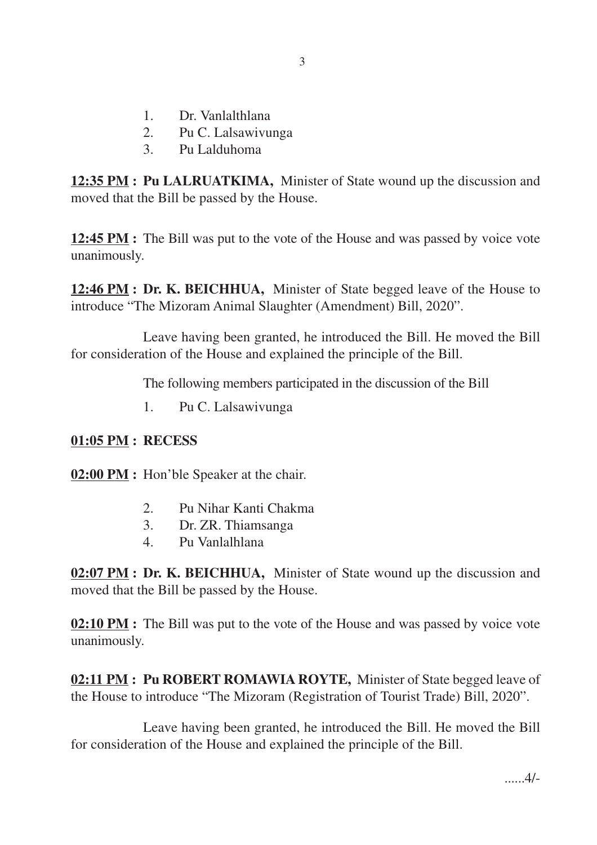- 1. Dr. Vanlalthlana
- 2. Pu C. Lalsawivunga
- 3. Pu Lalduhoma

**12:35 PM : Pu LALRUATKIMA,** Minister of State wound up the discussion and moved that the Bill be passed by the House.

**12:45 PM :** The Bill was put to the vote of the House and was passed by voice vote unanimously.

**12:46 PM : Dr. K. BEICHHUA,** Minister of State begged leave of the House to introduce "The Mizoram Animal Slaughter (Amendment) Bill, 2020".

Leave having been granted, he introduced the Bill. He moved the Bill for consideration of the House and explained the principle of the Bill.

The following members participated in the discussion of the Bill

1. Pu C. Lalsawivunga

### **01:05 PM : RECESS**

**02:00 PM :** Hon'ble Speaker at the chair.

- 2. Pu Nihar Kanti Chakma
- 3. Dr. ZR. Thiamsanga
- 4. Pu Vanlalhlana

**02:07 PM : Dr. K. BEICHHUA,** Minister of State wound up the discussion and moved that the Bill be passed by the House.

**02:10 PM :** The Bill was put to the vote of the House and was passed by voice vote unanimously.

**02:11 PM : Pu ROBERT ROMAWIA ROYTE,** Minister of State begged leave of the House to introduce "The Mizoram (Registration of Tourist Trade) Bill, 2020".

Leave having been granted, he introduced the Bill. He moved the Bill for consideration of the House and explained the principle of the Bill.

......4/-